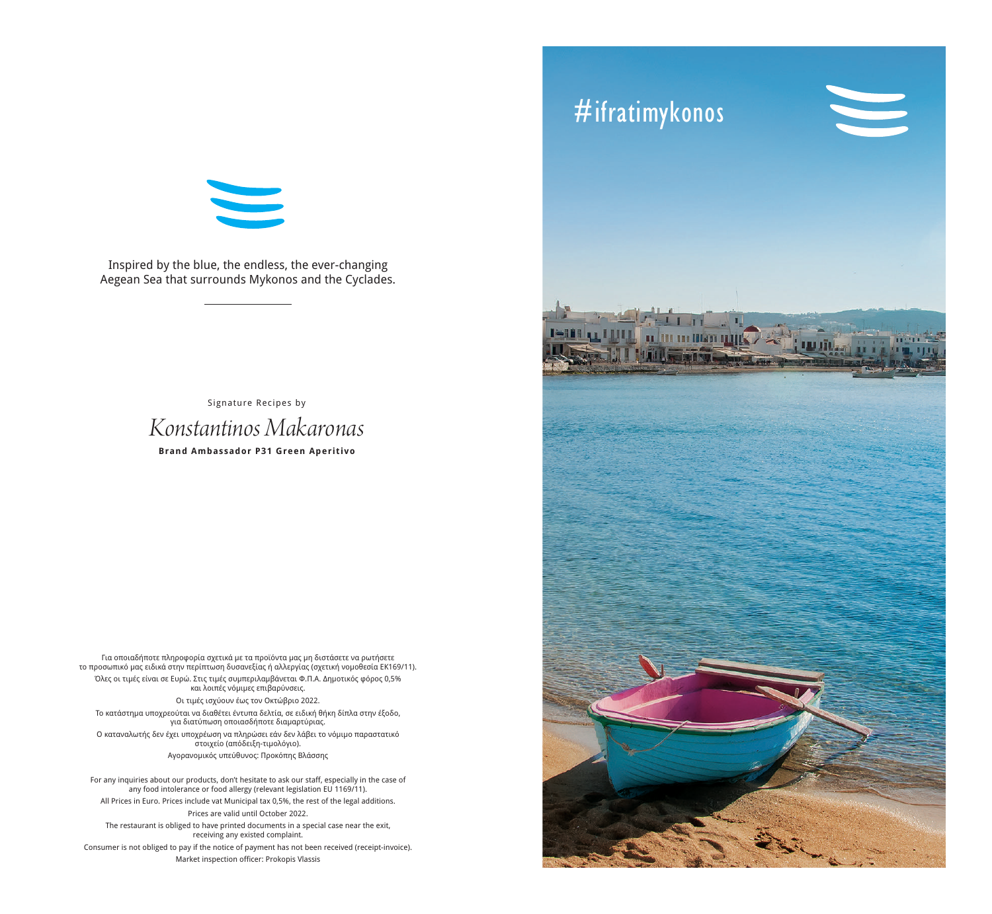# 

Inspired by the blue, the endless, the ever-changing Aegean Sea that surrounds Mykonos and the Cyclades.

> *Konstantinos Makaronas* **Brand Ambassador P31 Green Aperitivo** Signature Recipes by

Για οποιαδήποτε πληροφορία σχετικά με τα προϊόντα μας μη διστάσετε να ρωτήσετε το προσωπικό μας ειδικά στην περίπτωση δυσανεξίας ή αλλεργίας (σχετική νομοθεσία ΕΚ169/11). Όλες οι τιμές είναι σε Ευρώ. Στις τιμές συμπεριλαμβάνεται Φ.Π.Α. Δημοτικός φόρος 0,5% και λοιπές νόμιμες επιβαρύνσεις. Οι τιμές ισχύουν έως τον Οκτώβριο 2022. Tο κατάστημα υποχρεούται να διαθέτει έντυπα δελτία, σε ειδική θήκη δίπλα στην έξοδο, για διατύπωση οποιασδήποτε διαμαρτύριας. Ο καταναλωτής δεν έχει υποχρέωση να πληρώσει εάν δεν λάβει το νόμιμο παραστατικό στοιχείο (απόδειξη-τιμολόγιο). Aγορανομικός υπεύθυνος: Προκόπης Βλάσσης

For any inquiries about our products, don't hesitate to ask our staff, especially in the case of any food intolerance or food allergy (relevant legislation EU 1169/11). All Prices in Euro. Prices include vat Μunicipal tax 0,5%, the rest of the legal additions. Prices are valid until October 2022. The restaurant is obliged to have printed documents in a special case near the exit, receiving any existed complaint. Consumer is not obliged to pay if the notice of payment has not been received (receipt-invoice). Market inspection officer: Prokopis Vlassis

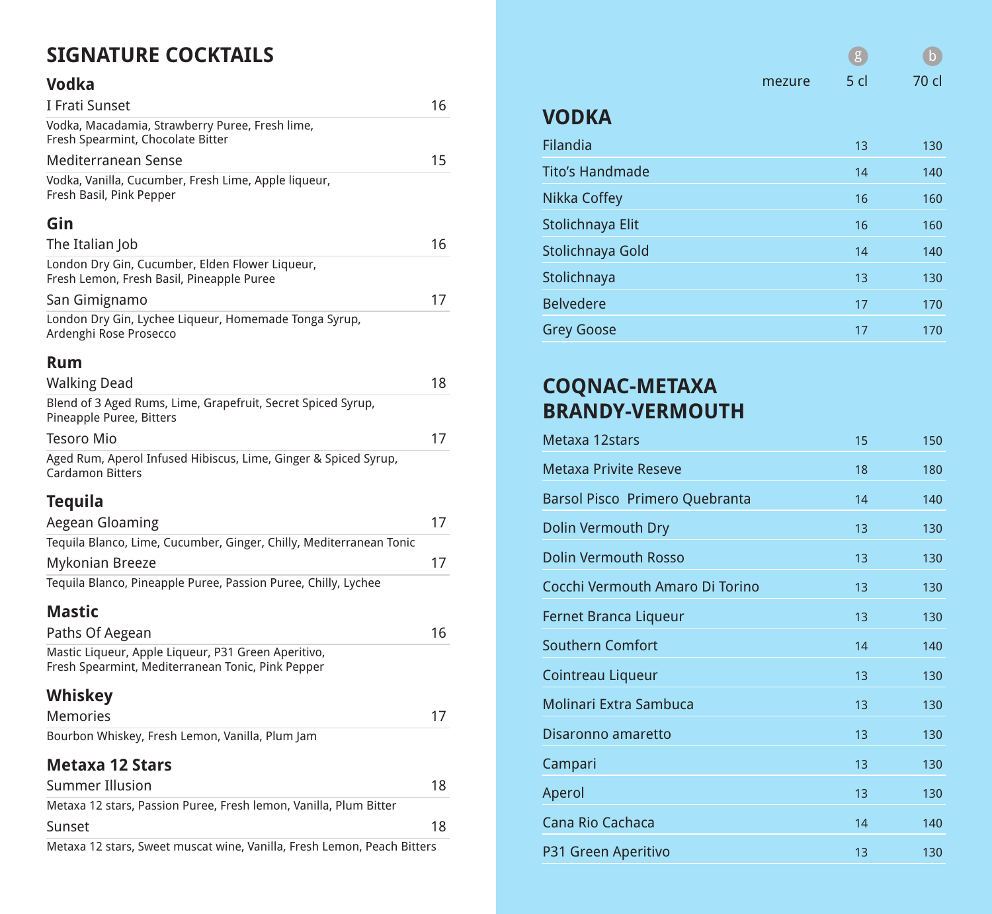## **SIGNATURE COCKTAILS**

#### **Vodka**

| I Frati Sunset                                                                               | 16 |
|----------------------------------------------------------------------------------------------|----|
| Vodka, Macadamia, Strawberry Puree, Fresh lime,<br>Fresh Spearmint, Chocolate Bitter         |    |
| Mediterranean Sense                                                                          | 15 |
| Vodka, Vanilla, Cucumber, Fresh Lime, Apple liqueur,<br>Fresh Basil, Pink Pepper             |    |
| Gin                                                                                          |    |
| The Italian Job                                                                              | 16 |
| London Dry Gin, Cucumber, Elden Flower Liqueur,<br>Fresh Lemon, Fresh Basil, Pineapple Puree |    |
| San Gimignamo                                                                                | 17 |
| London Dry Gin, Lychee Liqueur, Homemade Tonga Syrup,<br>Ardenghi Rose Prosecco              |    |
| <b>Rum</b>                                                                                   |    |
| <b>Walking Dead</b>                                                                          | 18 |
| Blend of 3 Aged Rums, Lime, Grapefruit, Secret Spiced Syrup,<br>Pineapple Puree, Bitters     |    |
| <b>Tesoro Mio</b>                                                                            | 17 |
| Aged Rum, Aperol Infused Hibiscus, Lime, Ginger & Spiced Syrup,<br><b>Cardamon Bitters</b>   |    |
| <b>Tequila</b>                                                                               |    |
| <b>Aegean Gloaming</b>                                                                       | 17 |
| Tequila Blanco, Lime, Cucumber, Ginger, Chilly, Mediterranean Tonic                          |    |
| <b>Mykonian Breeze</b>                                                                       | 17 |
| Tequila Blanco, Pineapple Puree, Passion Puree, Chilly, Lychee                               |    |
| <b>Mastic</b>                                                                                |    |
|                                                                                              | 16 |
| Paths Of Aegean<br>Mastic Liqueur, Apple Liqueur, P31 Green Aperitivo,                       |    |
| Fresh Spearmint, Mediterranean Tonic, Pink Pepper                                            |    |
| <b>Whiskey</b>                                                                               |    |
| <b>Memories</b>                                                                              | 17 |
| Bourbon Whiskey, Fresh Lemon, Vanilla, Plum Jam                                              |    |
| <b>Metaxa 12 Stars</b>                                                                       |    |
| <b>Summer Illusion</b>                                                                       | 18 |
| Metaxa 12 stars, Passion Puree, Fresh lemon, Vanilla, Plum Bitter                            |    |
| Sunset                                                                                       | 18 |
| Metaxa 12 stars, Sweet muscat wine, Vanilla, Fresh Lemon, Peach Bitters                      |    |

| <b>VODKA</b>           |    |     |
|------------------------|----|-----|
| Filandia               | 13 | 130 |
| <b>Tito's Handmade</b> | 14 | 140 |
| Nikka Coffey           | 16 | 160 |
| Stolichnaya Elit       | 16 | 160 |
| Stolichnaya Gold       | 14 | 140 |
| Stolichnaya            | 13 | 130 |
| <b>Belvedere</b>       | 17 | 170 |
| <b>Grey Goose</b>      | 17 | 170 |

g b

mezure 5 cl 70 cl

#### **COQNAC-METAXA BRANDY-VERMOUTH**

| Metaxa 12stars                  | 15 | 150 |
|---------------------------------|----|-----|
| <b>Metaxa Privite Reseve</b>    | 18 | 180 |
| Barsol Pisco Primero Quebranta  | 14 | 140 |
| Dolin Vermouth Dry              | 13 | 130 |
| <b>Dolin Vermouth Rosso</b>     | 13 | 130 |
| Cocchi Vermouth Amaro Di Torino | 13 | 130 |
| <b>Fernet Branca Liqueur</b>    | 13 | 130 |
| <b>Southern Comfort</b>         | 14 | 140 |
| Cointreau Liqueur               | 13 | 130 |
| <b>Molinari Extra Sambuca</b>   | 13 | 130 |
| Disaronno amaretto              | 13 | 130 |
| Campari                         | 13 | 130 |
| Aperol                          | 13 | 130 |
| <b>Cana Rio Cachaca</b>         | 14 | 140 |
| P31 Green Aperitivo             | 13 | 130 |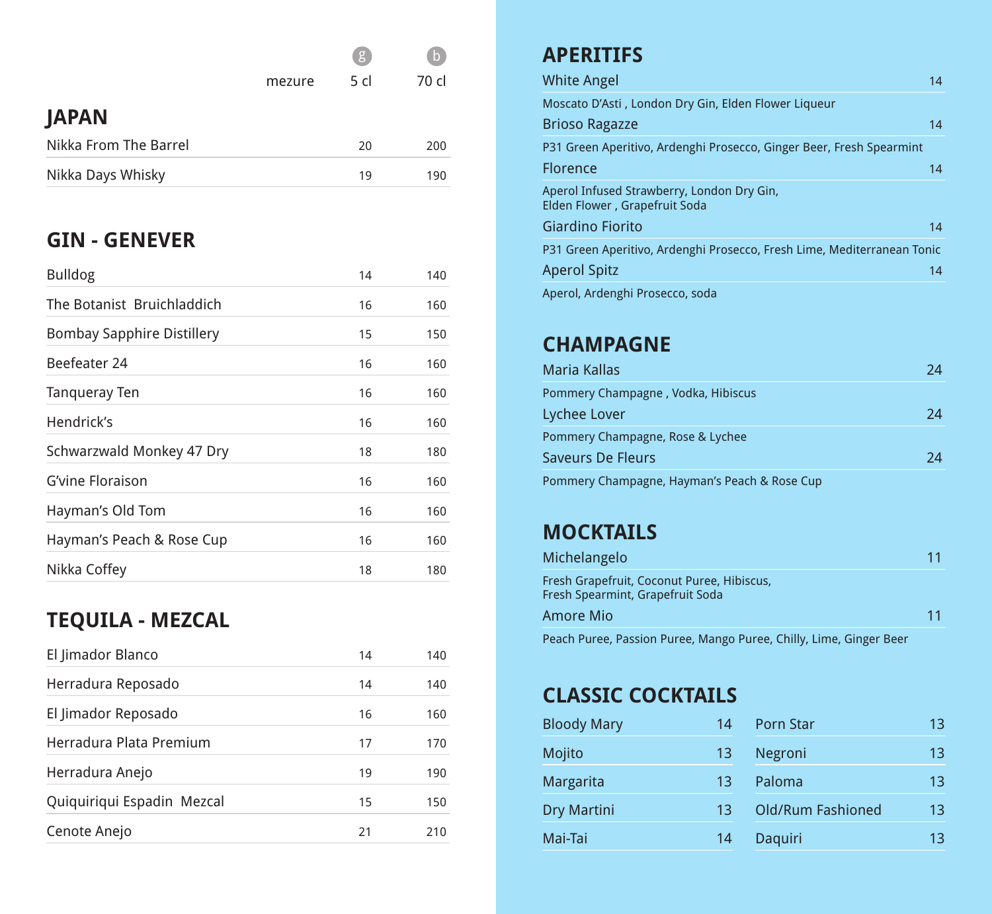|                       |        | g    | $\mathsf{b}$ |
|-----------------------|--------|------|--------------|
|                       | mezure | 5 cl | 70 cl        |
| <b>JAPAN</b>          |        |      |              |
| Nikka From The Barrel |        | 20   | 200          |
| Nikka Days Whisky     |        | 19   | 190          |

#### **GIN - GENEVER**

| <b>Bulldog</b>                    | 14 | 140 |
|-----------------------------------|----|-----|
| The Botanist Bruichladdich        | 16 | 160 |
| <b>Bombay Sapphire Distillery</b> | 15 | 150 |
| Beefeater 24                      | 16 | 160 |
| <b>Tangueray Ten</b>              | 16 | 160 |
| Hendrick's                        | 16 | 160 |
| Schwarzwald Monkey 47 Dry         | 18 | 180 |
| <b>G'vine Floraison</b>           | 16 | 160 |
| Hayman's Old Tom                  | 16 | 160 |
| Hayman's Peach & Rose Cup         | 16 | 160 |
| Nikka Coffey                      | 18 | 180 |

# **TEQUILA - MEZCAL**

| El Jimador Blanco          | 14 | 140 |
|----------------------------|----|-----|
| Herradura Reposado         | 14 | 140 |
| El Jimador Reposado        | 16 | 160 |
| Herradura Plata Premium    | 17 | 170 |
| Herradura Anejo            | 19 | 190 |
| Quiquiriqui Espadin Mezcal | 15 | 150 |
| Cenote Anejo               | 21 |     |

## **APERITIFS**

| <b>White Angel</b>                                                          | 14 |
|-----------------------------------------------------------------------------|----|
| Moscato D'Asti, London Dry Gin, Elden Flower Liqueur                        |    |
| <b>Brioso Ragazze</b>                                                       | 14 |
| P31 Green Aperitivo, Ardenghi Prosecco, Ginger Beer, Fresh Spearmint        |    |
| <b>Florence</b>                                                             | 14 |
| Aperol Infused Strawberry, London Dry Gin,<br>Elden Flower, Grapefruit Soda |    |
| <b>Giardino Fiorito</b>                                                     | 14 |
| P31 Green Aperitivo, Ardenghi Prosecco, Fresh Lime, Mediterranean Tonic     |    |
| <b>Aperol Spitz</b>                                                         | 14 |
| Aperol, Ardenghi Prosecco, soda                                             |    |

#### **CHAMPAGNE**

| <b>Maria Kallas</b>                          |    |
|----------------------------------------------|----|
| Pommery Champagne, Vodka, Hibiscus           |    |
| Lychee Lover                                 | 24 |
| Pommery Champagne, Rose & Lychee             |    |
| Saveurs De Fleurs                            | 7Δ |
| Pommery Champagne, Hayman's Peach & Rose Cup |    |

#### **MOCKTAILS**

| Michelangelo                                                                   | 11 |
|--------------------------------------------------------------------------------|----|
| Fresh Grapefruit, Coconut Puree, Hibiscus,<br>Fresh Spearmint, Grapefruit Soda |    |
| Amore Mio                                                                      | 11 |
| Peach Puree, Passion Puree, Mango Puree, Chilly, Lime, Ginger Beer             |    |

## **CLASSIC COCKTAILS**

| <b>Bloody Mary</b> | 14 | <b>Porn Star</b>         | 13 |
|--------------------|----|--------------------------|----|
| Mojito             | 13 | Negroni                  | 13 |
| <b>Margarita</b>   | 13 | Paloma                   | 13 |
| <b>Dry Martini</b> | 13 | <b>Old/Rum Fashioned</b> | 13 |
| Mai-Tai            | 14 | Daquiri                  | 13 |